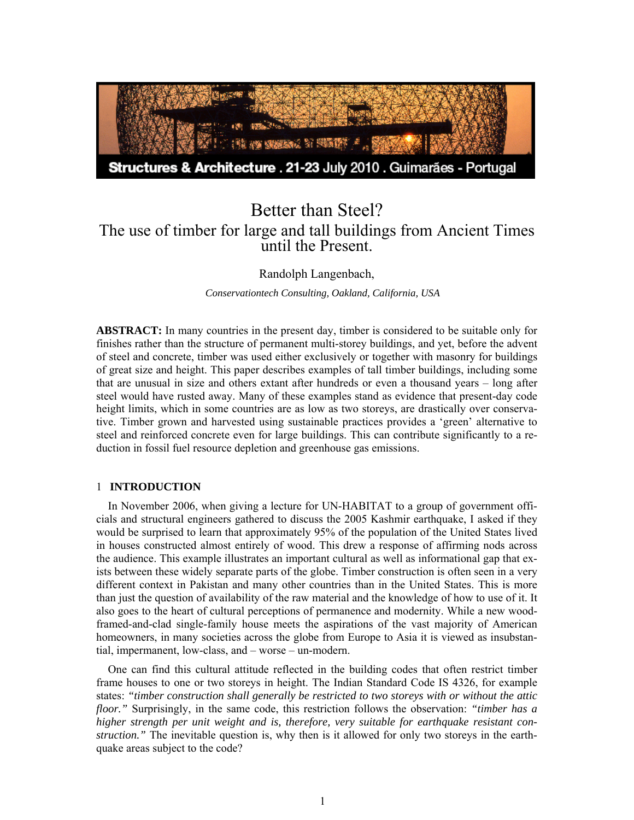

# Better than Steel? The use of timber for large and tall buildings from Ancient Times until the Present.

Randolph Langenbach,

*Conservationtech Consulting, Oakland, California, USA*

**ABSTRACT:** In many countries in the present day, timber is considered to be suitable only for finishes rather than the structure of permanent multi-storey buildings, and yet, before the advent of steel and concrete, timber was used either exclusively or together with masonry for buildings of great size and height. This paper describes examples of tall timber buildings, including some that are unusual in size and others extant after hundreds or even a thousand years – long after steel would have rusted away. Many of these examples stand as evidence that present-day code height limits, which in some countries are as low as two storeys, are drastically over conservative. Timber grown and harvested using sustainable practices provides a 'green' alternative to steel and reinforced concrete even for large buildings. This can contribute significantly to a reduction in fossil fuel resource depletion and greenhouse gas emissions.

# 1 **INTRODUCTION**

In November 2006, when giving a lecture for UN-HABITAT to a group of government officials and structural engineers gathered to discuss the 2005 Kashmir earthquake, I asked if they would be surprised to learn that approximately 95% of the population of the United States lived in houses constructed almost entirely of wood. This drew a response of affirming nods across the audience. This example illustrates an important cultural as well as informational gap that exists between these widely separate parts of the globe. Timber construction is often seen in a very different context in Pakistan and many other countries than in the United States. This is more than just the question of availability of the raw material and the knowledge of how to use of it. It also goes to the heart of cultural perceptions of permanence and modernity. While a new woodframed-and-clad single-family house meets the aspirations of the vast majority of American homeowners, in many societies across the globe from Europe to Asia it is viewed as insubstantial, impermanent, low-class, and – worse – un-modern.

One can find this cultural attitude reflected in the building codes that often restrict timber frame houses to one or two storeys in height. The Indian Standard Code IS 4326, for example states: *"timber construction shall generally be restricted to two storeys with or without the attic floor."* Surprisingly, in the same code, this restriction follows the observation: *"timber has a higher strength per unit weight and is, therefore, very suitable for earthquake resistant construction."* The inevitable question is, why then is it allowed for only two storeys in the earthquake areas subject to the code?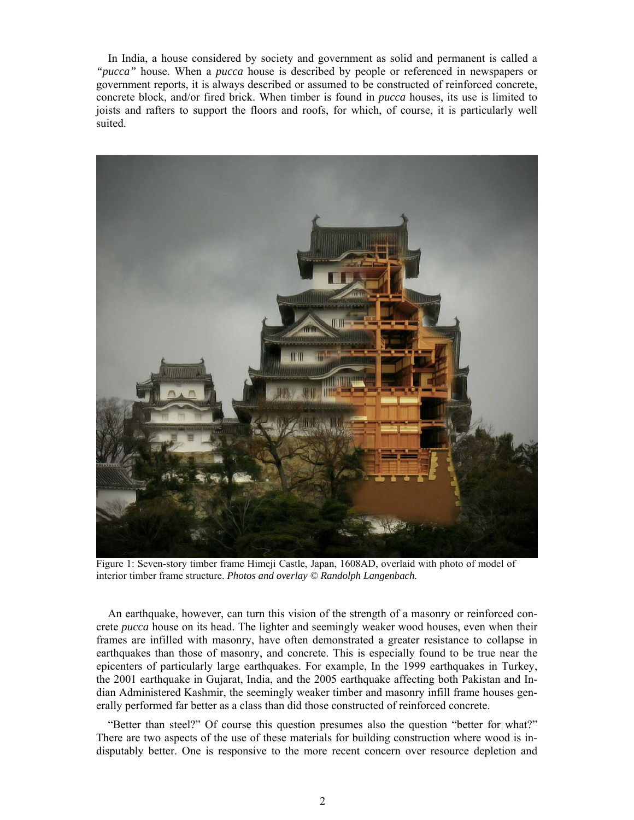In India, a house considered by society and government as solid and permanent is called a *"pucca"* house. When a *pucca* house is described by people or referenced in newspapers or government reports, it is always described or assumed to be constructed of reinforced concrete, concrete block, and/or fired brick. When timber is found in *pucca* houses, its use is limited to joists and rafters to support the floors and roofs, for which, of course, it is particularly well suited.



Figure 1: Seven-story timber frame Himeji Castle, Japan, 1608AD, overlaid with photo of model of interior timber frame structure. *Photos and overlay © Randolph Langenbach.*

An earthquake, however, can turn this vision of the strength of a masonry or reinforced concrete *pucca* house on its head. The lighter and seemingly weaker wood houses, even when their frames are infilled with masonry, have often demonstrated a greater resistance to collapse in earthquakes than those of masonry, and concrete. This is especially found to be true near the epicenters of particularly large earthquakes. For example, In the 1999 earthquakes in Turkey, the 2001 earthquake in Gujarat, India, and the 2005 earthquake affecting both Pakistan and Indian Administered Kashmir, the seemingly weaker timber and masonry infill frame houses generally performed far better as a class than did those constructed of reinforced concrete.

"Better than steel?" Of course this question presumes also the question "better for what?" There are two aspects of the use of these materials for building construction where wood is indisputably better. One is responsive to the more recent concern over resource depletion and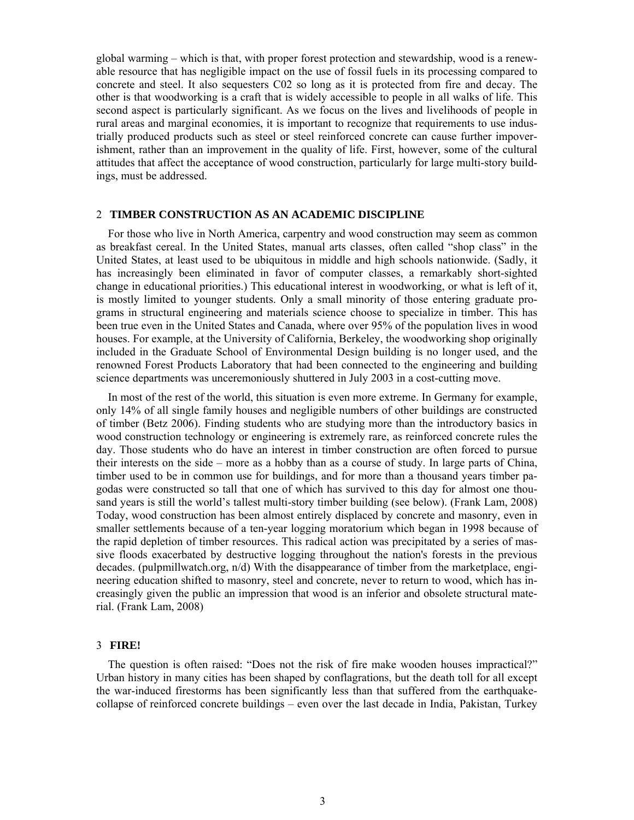global warming – which is that, with proper forest protection and stewardship, wood is a renewable resource that has negligible impact on the use of fossil fuels in its processing compared to concrete and steel. It also sequesters C02 so long as it is protected from fire and decay. The other is that woodworking is a craft that is widely accessible to people in all walks of life. This second aspect is particularly significant. As we focus on the lives and livelihoods of people in rural areas and marginal economies, it is important to recognize that requirements to use industrially produced products such as steel or steel reinforced concrete can cause further impoverishment, rather than an improvement in the quality of life. First, however, some of the cultural attitudes that affect the acceptance of wood construction, particularly for large multi-story buildings, must be addressed.

#### 2 **TIMBER CONSTRUCTION AS AN ACADEMIC DISCIPLINE**

For those who live in North America, carpentry and wood construction may seem as common as breakfast cereal. In the United States, manual arts classes, often called "shop class" in the United States, at least used to be ubiquitous in middle and high schools nationwide. (Sadly, it has increasingly been eliminated in favor of computer classes, a remarkably short-sighted change in educational priorities.) This educational interest in woodworking, or what is left of it, is mostly limited to younger students. Only a small minority of those entering graduate programs in structural engineering and materials science choose to specialize in timber. This has been true even in the United States and Canada, where over 95% of the population lives in wood houses. For example, at the University of California, Berkeley, the woodworking shop originally included in the Graduate School of Environmental Design building is no longer used, and the renowned Forest Products Laboratory that had been connected to the engineering and building science departments was unceremoniously shuttered in July 2003 in a cost-cutting move.

In most of the rest of the world, this situation is even more extreme. In Germany for example, only 14% of all single family houses and negligible numbers of other buildings are constructed of timber (Betz 2006). Finding students who are studying more than the introductory basics in wood construction technology or engineering is extremely rare, as reinforced concrete rules the day. Those students who do have an interest in timber construction are often forced to pursue their interests on the side – more as a hobby than as a course of study. In large parts of China, timber used to be in common use for buildings, and for more than a thousand years timber pagodas were constructed so tall that one of which has survived to this day for almost one thousand years is still the world's tallest multi-story timber building (see below). (Frank Lam, 2008) Today, wood construction has been almost entirely displaced by concrete and masonry, even in smaller settlements because of a ten-year logging moratorium which began in 1998 because of the rapid depletion of timber resources. This radical action was precipitated by a series of massive floods exacerbated by destructive logging throughout the nation's forests in the previous decades. (pulpmillwatch.org, n/d) With the disappearance of timber from the marketplace, engineering education shifted to masonry, steel and concrete, never to return to wood, which has increasingly given the public an impression that wood is an inferior and obsolete structural material. (Frank Lam, 2008)

#### 3 **FIRE!**

The question is often raised: "Does not the risk of fire make wooden houses impractical?" Urban history in many cities has been shaped by conflagrations, but the death toll for all except the war-induced firestorms has been significantly less than that suffered from the earthquakecollapse of reinforced concrete buildings – even over the last decade in India, Pakistan, Turkey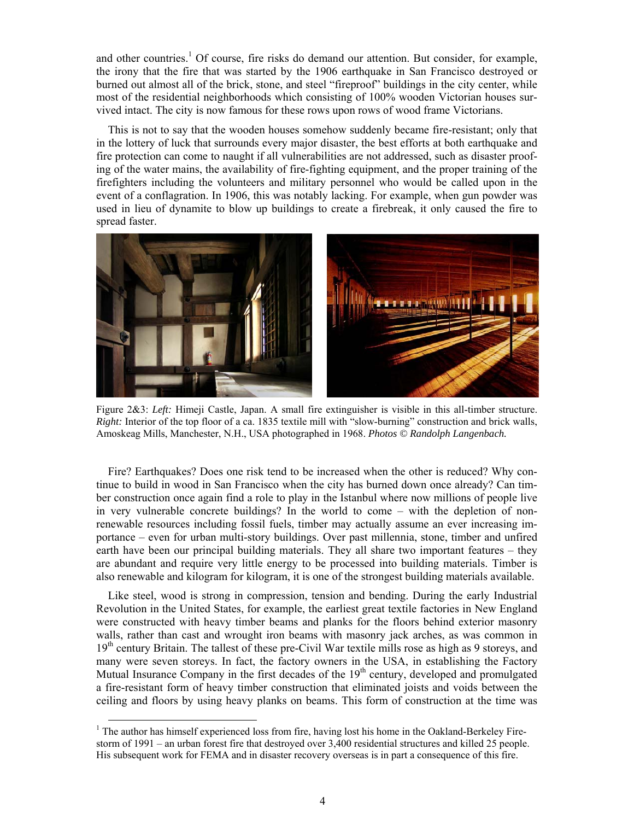and other countries.<sup>1</sup> Of course, fire risks do demand our attention. But consider, for example, the irony that the fire that was started by the 1906 earthquake in San Francisco destroyed or burned out almost all of the brick, stone, and steel "fireproof" buildings in the city center, while most of the residential neighborhoods which consisting of 100% wooden Victorian houses survived intact. The city is now famous for these rows upon rows of wood frame Victorians.

This is not to say that the wooden houses somehow suddenly became fire-resistant; only that in the lottery of luck that surrounds every major disaster, the best efforts at both earthquake and fire protection can come to naught if all vulnerabilities are not addressed, such as disaster proofing of the water mains, the availability of fire-fighting equipment, and the proper training of the firefighters including the volunteers and military personnel who would be called upon in the event of a conflagration. In 1906, this was notably lacking. For example, when gun powder was used in lieu of dynamite to blow up buildings to create a firebreak, it only caused the fire to spread faster.



Figure 2&3: *Left:* Himeji Castle, Japan. A small fire extinguisher is visible in this all-timber structure. *Right:* Interior of the top floor of a ca. 1835 textile mill with "slow-burning" construction and brick walls, Amoskeag Mills, Manchester, N.H., USA photographed in 1968. *Photos © Randolph Langenbach.* 

Fire? Earthquakes? Does one risk tend to be increased when the other is reduced? Why continue to build in wood in San Francisco when the city has burned down once already? Can timber construction once again find a role to play in the Istanbul where now millions of people live in very vulnerable concrete buildings? In the world to come – with the depletion of nonrenewable resources including fossil fuels, timber may actually assume an ever increasing importance – even for urban multi-story buildings. Over past millennia, stone, timber and unfired earth have been our principal building materials. They all share two important features – they are abundant and require very little energy to be processed into building materials. Timber is also renewable and kilogram for kilogram, it is one of the strongest building materials available.

Like steel, wood is strong in compression, tension and bending. During the early Industrial Revolution in the United States, for example, the earliest great textile factories in New England were constructed with heavy timber beams and planks for the floors behind exterior masonry walls, rather than cast and wrought iron beams with masonry jack arches, as was common in  $19<sup>th</sup>$  century Britain. The tallest of these pre-Civil War textile mills rose as high as 9 storeys, and many were seven storeys. In fact, the factory owners in the USA, in establishing the Factory Mutual Insurance Company in the first decades of the  $19<sup>th</sup>$  century, developed and promulgated a fire-resistant form of heavy timber construction that eliminated joists and voids between the ceiling and floors by using heavy planks on beams. This form of construction at the time was

<sup>&</sup>lt;sup>1</sup> The author has himself experienced loss from fire, having lost his home in the Oakland-Berkeley Firestorm of 1991 – an urban forest fire that destroyed over 3,400 residential structures and killed 25 people. His subsequent work for FEMA and in disaster recovery overseas is in part a consequence of this fire.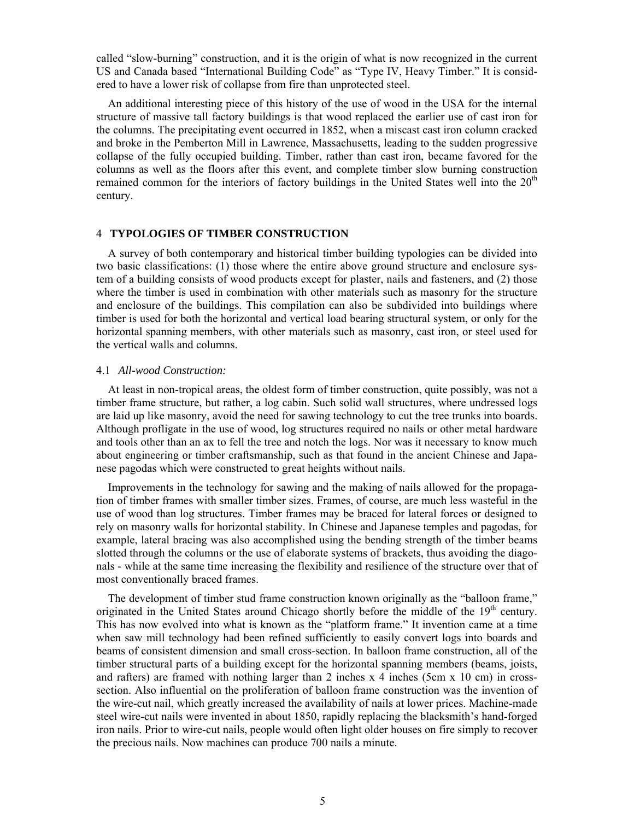called "slow-burning" construction, and it is the origin of what is now recognized in the current US and Canada based "International Building Code" as "Type IV, Heavy Timber." It is considered to have a lower risk of collapse from fire than unprotected steel.

An additional interesting piece of this history of the use of wood in the USA for the internal structure of massive tall factory buildings is that wood replaced the earlier use of cast iron for the columns. The precipitating event occurred in 1852, when a miscast cast iron column cracked and broke in the Pemberton Mill in Lawrence, Massachusetts, leading to the sudden progressive collapse of the fully occupied building. Timber, rather than cast iron, became favored for the columns as well as the floors after this event, and complete timber slow burning construction remained common for the interiors of factory buildings in the United States well into the 20<sup>th</sup> century.

# 4 **TYPOLOGIES OF TIMBER CONSTRUCTION**

A survey of both contemporary and historical timber building typologies can be divided into two basic classifications: (1) those where the entire above ground structure and enclosure system of a building consists of wood products except for plaster, nails and fasteners, and (2) those where the timber is used in combination with other materials such as masonry for the structure and enclosure of the buildings. This compilation can also be subdivided into buildings where timber is used for both the horizontal and vertical load bearing structural system, or only for the horizontal spanning members, with other materials such as masonry, cast iron, or steel used for the vertical walls and columns.

## 4.1 *All-wood Construction:*

At least in non-tropical areas, the oldest form of timber construction, quite possibly, was not a timber frame structure, but rather, a log cabin. Such solid wall structures, where undressed logs are laid up like masonry, avoid the need for sawing technology to cut the tree trunks into boards. Although profligate in the use of wood, log structures required no nails or other metal hardware and tools other than an ax to fell the tree and notch the logs. Nor was it necessary to know much about engineering or timber craftsmanship, such as that found in the ancient Chinese and Japanese pagodas which were constructed to great heights without nails.

Improvements in the technology for sawing and the making of nails allowed for the propagation of timber frames with smaller timber sizes. Frames, of course, are much less wasteful in the use of wood than log structures. Timber frames may be braced for lateral forces or designed to rely on masonry walls for horizontal stability. In Chinese and Japanese temples and pagodas, for example, lateral bracing was also accomplished using the bending strength of the timber beams slotted through the columns or the use of elaborate systems of brackets, thus avoiding the diagonals - while at the same time increasing the flexibility and resilience of the structure over that of most conventionally braced frames.

The development of timber stud frame construction known originally as the "balloon frame," originated in the United States around Chicago shortly before the middle of the  $19<sup>th</sup>$  century. This has now evolved into what is known as the "platform frame." It invention came at a time when saw mill technology had been refined sufficiently to easily convert logs into boards and beams of consistent dimension and small cross-section. In balloon frame construction, all of the timber structural parts of a building except for the horizontal spanning members (beams, joists, and rafters) are framed with nothing larger than 2 inches  $x$  4 inches (5cm  $x$  10 cm) in crosssection. Also influential on the proliferation of balloon frame construction was the invention of the wire-cut nail, which greatly increased the availability of nails at lower prices. Machine-made steel wire-cut nails were invented in about 1850, rapidly replacing the blacksmith's hand-forged iron nails. Prior to wire-cut nails, people would often light older houses on fire simply to recover the precious nails. Now machines can produce 700 nails a minute.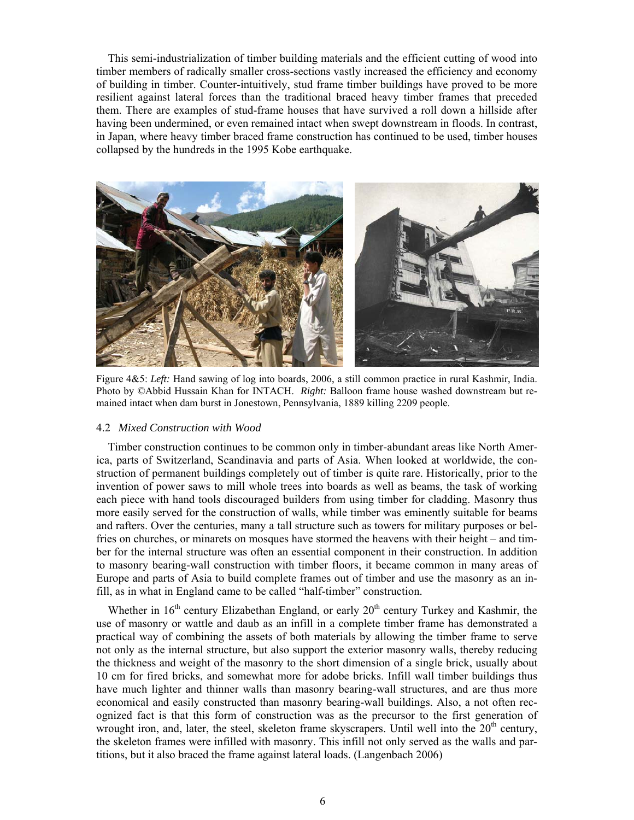This semi-industrialization of timber building materials and the efficient cutting of wood into timber members of radically smaller cross-sections vastly increased the efficiency and economy of building in timber. Counter-intuitively, stud frame timber buildings have proved to be more resilient against lateral forces than the traditional braced heavy timber frames that preceded them. There are examples of stud-frame houses that have survived a roll down a hillside after having been undermined, or even remained intact when swept downstream in floods. In contrast, in Japan, where heavy timber braced frame construction has continued to be used, timber houses collapsed by the hundreds in the 1995 Kobe earthquake.



Figure 4&5: *Left:* Hand sawing of log into boards, 2006, a still common practice in rural Kashmir, India. Photo by ©Abbid Hussain Khan for INTACH. *Right:* Balloon frame house washed downstream but remained intact when dam burst in Jonestown, Pennsylvania, 1889 killing 2209 people.

## 4.2 *Mixed Construction with Wood*

Timber construction continues to be common only in timber-abundant areas like North America, parts of Switzerland, Scandinavia and parts of Asia. When looked at worldwide, the construction of permanent buildings completely out of timber is quite rare. Historically, prior to the invention of power saws to mill whole trees into boards as well as beams, the task of working each piece with hand tools discouraged builders from using timber for cladding. Masonry thus more easily served for the construction of walls, while timber was eminently suitable for beams and rafters. Over the centuries, many a tall structure such as towers for military purposes or belfries on churches, or minarets on mosques have stormed the heavens with their height – and timber for the internal structure was often an essential component in their construction. In addition to masonry bearing-wall construction with timber floors, it became common in many areas of Europe and parts of Asia to build complete frames out of timber and use the masonry as an infill, as in what in England came to be called "half-timber" construction.

Whether in  $16<sup>th</sup>$  century Elizabethan England, or early  $20<sup>th</sup>$  century Turkey and Kashmir, the use of masonry or wattle and daub as an infill in a complete timber frame has demonstrated a practical way of combining the assets of both materials by allowing the timber frame to serve not only as the internal structure, but also support the exterior masonry walls, thereby reducing the thickness and weight of the masonry to the short dimension of a single brick, usually about 10 cm for fired bricks, and somewhat more for adobe bricks. Infill wall timber buildings thus have much lighter and thinner walls than masonry bearing-wall structures, and are thus more economical and easily constructed than masonry bearing-wall buildings. Also, a not often recognized fact is that this form of construction was as the precursor to the first generation of wrought iron, and, later, the steel, skeleton frame skyscrapers. Until well into the  $20<sup>th</sup>$  century, the skeleton frames were infilled with masonry. This infill not only served as the walls and partitions, but it also braced the frame against lateral loads. (Langenbach 2006)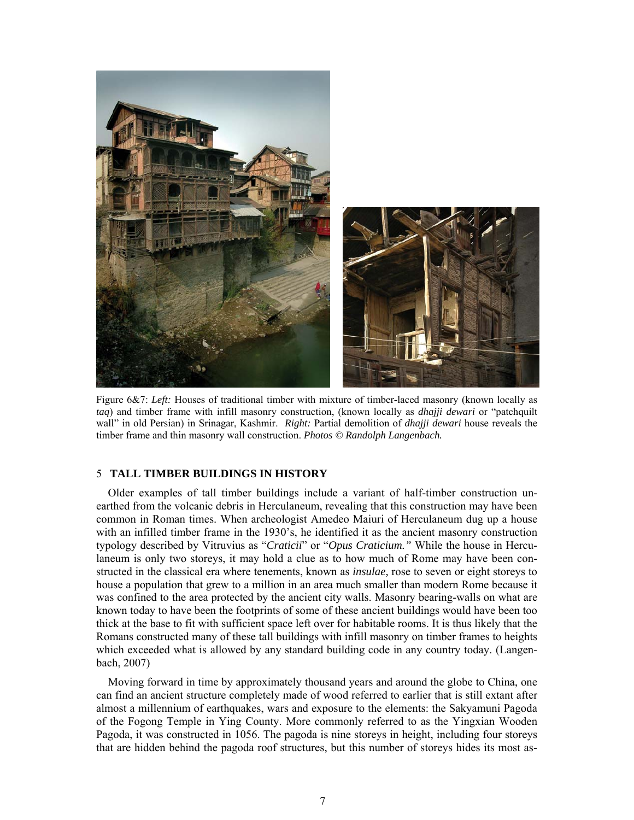

Figure 6&7: *Left:* Houses of traditional timber with mixture of timber-laced masonry (known locally as *taq*) and timber frame with infill masonry construction, (known locally as *dhajji dewari* or "patchquilt wall" in old Persian) in Srinagar, Kashmir. *Right:* Partial demolition of *dhajji dewari* house reveals the timber frame and thin masonry wall construction. *Photos © Randolph Langenbach.* 

# 5 **TALL TIMBER BUILDINGS IN HISTORY**

Older examples of tall timber buildings include a variant of half-timber construction unearthed from the volcanic debris in Herculaneum, revealing that this construction may have been common in Roman times. When archeologist Amedeo Maiuri of Herculaneum dug up a house with an infilled timber frame in the 1930's, he identified it as the ancient masonry construction typology described by Vitruvius as "*Craticii*" or "*Opus Craticium."* While the house in Herculaneum is only two storeys, it may hold a clue as to how much of Rome may have been constructed in the classical era where tenements, known as *insulae,* rose to seven or eight storeys to house a population that grew to a million in an area much smaller than modern Rome because it was confined to the area protected by the ancient city walls. Masonry bearing-walls on what are known today to have been the footprints of some of these ancient buildings would have been too thick at the base to fit with sufficient space left over for habitable rooms. It is thus likely that the Romans constructed many of these tall buildings with infill masonry on timber frames to heights which exceeded what is allowed by any standard building code in any country today. (Langenbach, 2007)

Moving forward in time by approximately thousand years and around the globe to China, one can find an ancient structure completely made of wood referred to earlier that is still extant after almost a millennium of earthquakes, wars and exposure to the elements: the Sakyamuni Pagoda of the Fogong Temple in Ying County. More commonly referred to as the Yingxian Wooden Pagoda, it was constructed in 1056. The pagoda is nine storeys in height, including four storeys that are hidden behind the pagoda roof structures, but this number of storeys hides its most as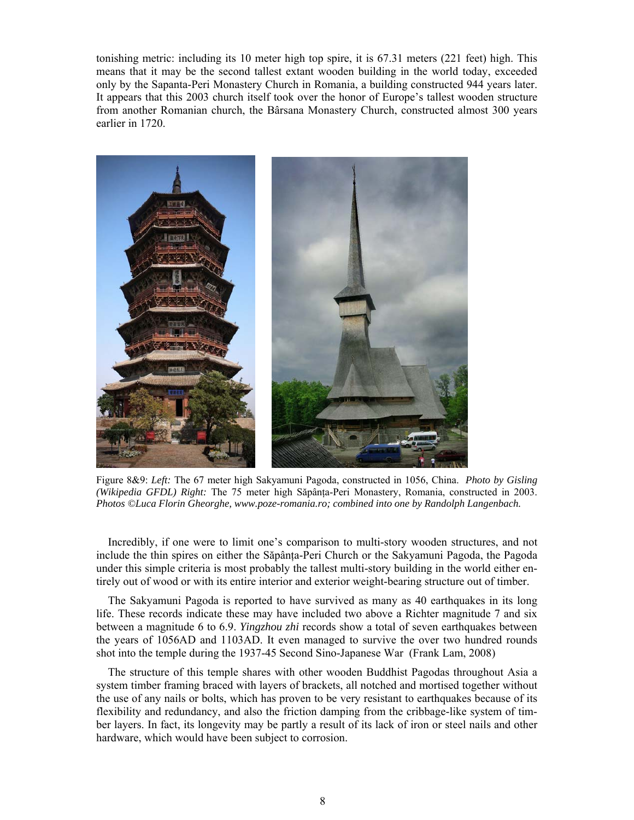tonishing metric: including its 10 meter high top spire, it is 67.31 meters (221 feet) high. This means that it may be the second tallest extant wooden building in the world today, exceeded only by the Sapanta-Peri Monastery Church in Romania, a building constructed 944 years later. It appears that this 2003 church itself took over the honor of Europe's tallest wooden structure from another Romanian church, the Bârsana Monastery Church, constructed almost 300 years earlier in 1720.



Figure 8&9: *Left:* The 67 meter high Sakyamuni Pagoda, constructed in 1056, China. *Photo by Gisling (Wikipedia GFDL) Right:* The 75 meter high Săpânta-Peri Monastery, Romania, constructed in 2003. *Photos ©Luca Florin Gheorghe, www.poze-romania.ro; combined into one by Randolph Langenbach.* 

Incredibly, if one were to limit one's comparison to multi-story wooden structures, and not include the thin spires on either the Săpânța-Peri Church or the Sakyamuni Pagoda, the Pagoda under this simple criteria is most probably the tallest multi-story building in the world either entirely out of wood or with its entire interior and exterior weight-bearing structure out of timber.

The Sakyamuni Pagoda is reported to have survived as many as 40 earthquakes in its long life. These records indicate these may have included two above a Richter magnitude 7 and six between a magnitude 6 to 6.9. *Yingzhou zhi* records show a total of seven earthquakes between the years of 1056AD and 1103AD. It even managed to survive the over two hundred rounds shot into the temple during the 1937-45 Second Sino-Japanese War (Frank Lam, 2008)

The structure of this temple shares with other wooden Buddhist Pagodas throughout Asia a system timber framing braced with layers of brackets, all notched and mortised together without the use of any nails or bolts, which has proven to be very resistant to earthquakes because of its flexibility and redundancy, and also the friction damping from the cribbage-like system of timber layers. In fact, its longevity may be partly a result of its lack of iron or steel nails and other hardware, which would have been subject to corrosion.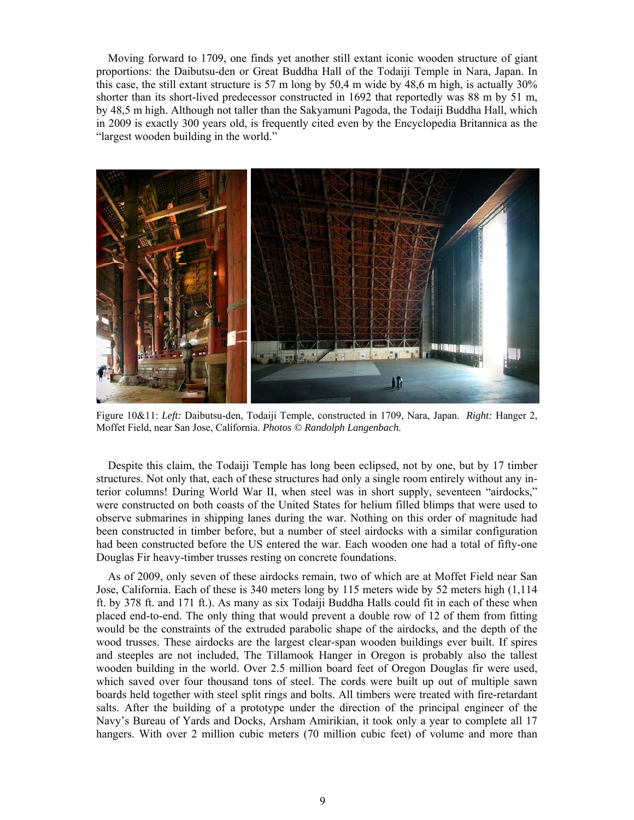Moving forward to 1709, one finds yet another still extant iconic wooden structure of giant proportions: the Daibutsu-den or Great Buddha Hall of the Todaiji Temple in Nara, Japan. In this case, the still extant structure is 57 m long by 50,4 m wide by 48,6 m high, is actually 30% shorter than its short-lived predecessor constructed in 1692 that reportedly was 88 m by 51 m, by 48,5 m high. Although not taller than the Sakyamuni Pagoda, the Todaiji Buddha Hall, which in 2009 is exactly 300 years old, is frequently cited even by the Encyclopedia Britannica as the "largest wooden building in the world."



Figure 10&11: *Left:* Daibutsu-den, Todaiji Temple, constructed in 1709, Nara, Japan. *Right:* Hanger 2, Moffet Field, near San Jose, California. *Photos © Randolph Langenbach*.

Despite this claim, the Todaiji Temple has long been eclipsed, not by one, but by 17 timber structures. Not only that, each of these structures had only a single room entirely without any interior columns! During World War II, when steel was in short supply, seventeen "airdocks," were constructed on both coasts of the United States for helium filled blimps that were used to observe submarines in shipping lanes during the war. Nothing on this order of magnitude had been constructed in timber before, but a number of steel airdocks with a similar configuration had been constructed before the US entered the war. Each wooden one had a total of fifty-one Douglas Fir heavy-timber trusses resting on concrete foundations.

As of 2009, only seven of these airdocks remain, two of which are at Moffet Field near San Jose, California. Each of these is 340 meters long by 115 meters wide by 52 meters high (1,114 ft. by 378 ft. and 171 ft.). As many as six Todaiji Buddha Halls could fit in each of these when placed end-to-end. The only thing that would prevent a double row of 12 of them from fitting would be the constraints of the extruded parabolic shape of the airdocks, and the depth of the wood trusses. These airdocks are the largest clear-span wooden buildings ever built. If spires and steeples are not included, The Tillamook Hanger in Oregon is probably also the tallest wooden building in the world. Over 2.5 million board feet of Oregon Douglas fir were used, which saved over four thousand tons of steel. The cords were built up out of multiple sawn boards held together with steel split rings and bolts. All timbers were treated with fire-retardant salts. After the building of a prototype under the direction of the principal engineer of the Navy's Bureau of Yards and Docks, Arsham Amirikian, it took only a year to complete all 17 hangers. With over 2 million cubic meters (70 million cubic feet) of volume and more than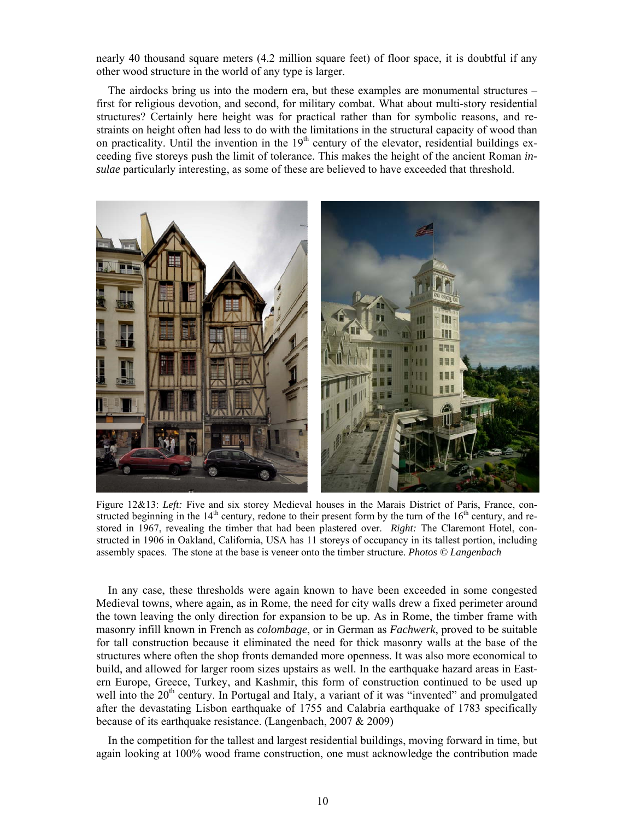nearly 40 thousand square meters (4.2 million square feet) of floor space, it is doubtful if any other wood structure in the world of any type is larger.

The airdocks bring us into the modern era, but these examples are monumental structures – first for religious devotion, and second, for military combat. What about multi-story residential structures? Certainly here height was for practical rather than for symbolic reasons, and restraints on height often had less to do with the limitations in the structural capacity of wood than on practicality. Until the invention in the  $19<sup>th</sup>$  century of the elevator, residential buildings exceeding five storeys push the limit of tolerance. This makes the height of the ancient Roman *insulae* particularly interesting, as some of these are believed to have exceeded that threshold.



Figure 12&13: *Left:* Five and six storey Medieval houses in the Marais District of Paris, France, constructed beginning in the  $14<sup>th</sup>$  century, redone to their present form by the turn of the  $16<sup>th</sup>$  century, and restored in 1967, revealing the timber that had been plastered over. *Right:* The Claremont Hotel, constructed in 1906 in Oakland, California, USA has 11 storeys of occupancy in its tallest portion, including assembly spaces. The stone at the base is veneer onto the timber structure. *Photos © Langenbach* 

In any case, these thresholds were again known to have been exceeded in some congested Medieval towns, where again, as in Rome, the need for city walls drew a fixed perimeter around the town leaving the only direction for expansion to be up. As in Rome, the timber frame with masonry infill known in French as *colombage*, or in German as *Fachwerk*, proved to be suitable for tall construction because it eliminated the need for thick masonry walls at the base of the structures where often the shop fronts demanded more openness. It was also more economical to build, and allowed for larger room sizes upstairs as well. In the earthquake hazard areas in Eastern Europe, Greece, Turkey, and Kashmir, this form of construction continued to be used up well into the 20<sup>th</sup> century. In Portugal and Italy, a variant of it was "invented" and promulgated after the devastating Lisbon earthquake of 1755 and Calabria earthquake of 1783 specifically because of its earthquake resistance. (Langenbach, 2007 & 2009)

In the competition for the tallest and largest residential buildings, moving forward in time, but again looking at 100% wood frame construction, one must acknowledge the contribution made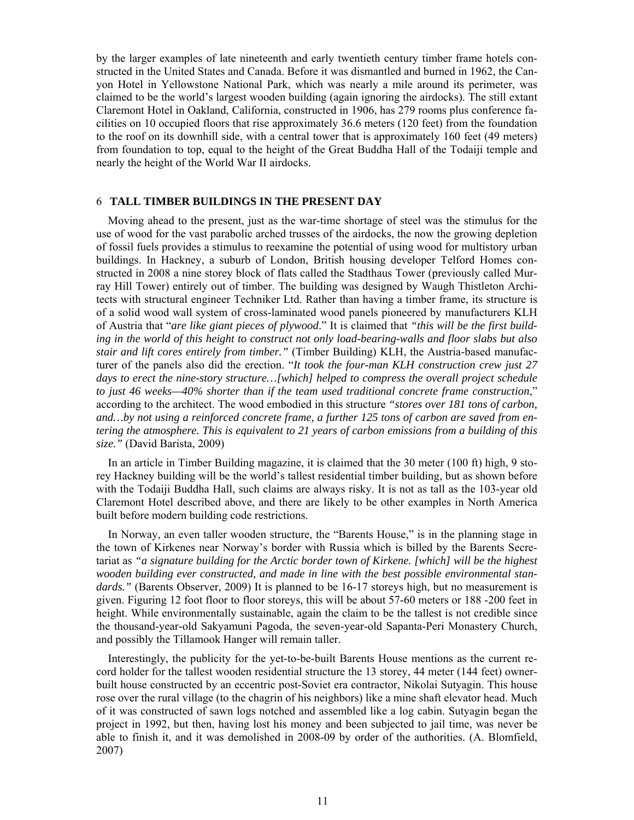by the larger examples of late nineteenth and early twentieth century timber frame hotels constructed in the United States and Canada. Before it was dismantled and burned in 1962, the Canyon Hotel in Yellowstone National Park, which was nearly a mile around its perimeter, was claimed to be the world's largest wooden building (again ignoring the airdocks). The still extant Claremont Hotel in Oakland, California, constructed in 1906, has 279 rooms plus conference facilities on 10 occupied floors that rise approximately 36.6 meters (120 feet) from the foundation to the roof on its downhill side, with a central tower that is approximately 160 feet (49 meters) from foundation to top, equal to the height of the Great Buddha Hall of the Todaiji temple and nearly the height of the World War II airdocks.

### 6 **TALL TIMBER BUILDINGS IN THE PRESENT DAY**

Moving ahead to the present, just as the war-time shortage of steel was the stimulus for the use of wood for the vast parabolic arched trusses of the airdocks, the now the growing depletion of fossil fuels provides a stimulus to reexamine the potential of using wood for multistory urban buildings. In Hackney, a suburb of London, British housing developer Telford Homes constructed in 2008 a nine storey block of flats called the Stadthaus Tower (previously called Murray Hill Tower) entirely out of timber. The building was designed by Waugh Thistleton Architects with structural engineer Techniker Ltd. Rather than having a timber frame, its structure is of a solid wood wall system of cross-laminated wood panels pioneered by manufacturers KLH of Austria that "*are like giant pieces of plywood*." It is claimed that *"this will be the first building in the world of this height to construct not only load-bearing-walls and floor slabs but also stair and lift cores entirely from timber."* (Timber Building) KLH, the Austria-based manufacturer of the panels also did the erection. "*It took the four-man KLH construction crew just 27 days to erect the nine-story structure…[which] helped to compress the overall project schedule to just 46 weeks—40% shorter than if the team used traditional concrete frame construction*," according to the architect. The wood embodied in this structure *"stores over 181 tons of carbon, and…by not using a reinforced concrete frame, a further 125 tons of carbon are saved from entering the atmosphere. This is equivalent to 21 years of carbon emissions from a building of this size."* (David Barista, 2009)

In an article in Timber Building magazine, it is claimed that the 30 meter (100 ft) high, 9 storey Hackney building will be the world's tallest residential timber building, but as shown before with the Todaiji Buddha Hall, such claims are always risky. It is not as tall as the 103-year old Claremont Hotel described above, and there are likely to be other examples in North America built before modern building code restrictions.

In Norway, an even taller wooden structure, the "Barents House," is in the planning stage in the town of Kirkenes near Norway's border with Russia which is billed by the Barents Secretariat as *"a signature building for the Arctic border town of Kirkene. [which] will be the highest wooden building ever constructed, and made in line with the best possible environmental stan*dards." (Barents Observer, 2009) It is planned to be 16-17 storeys high, but no measurement is given. Figuring 12 foot floor to floor storeys, this will be about 57-60 meters or 188 -200 feet in height. While environmentally sustainable, again the claim to be the tallest is not credible since the thousand-year-old Sakyamuni Pagoda, the seven-year-old Sapanta-Peri Monastery Church, and possibly the Tillamook Hanger will remain taller.

Interestingly, the publicity for the yet-to-be-built Barents House mentions as the current record holder for the tallest wooden residential structure the 13 storey, 44 meter (144 feet) ownerbuilt house constructed by an eccentric post-Soviet era contractor, Nikolai Sutyagin. This house rose over the rural village (to the chagrin of his neighbors) like a mine shaft elevator head. Much of it was constructed of sawn logs notched and assembled like a log cabin. Sutyagin began the project in 1992, but then, having lost his money and been subjected to jail time, was never be able to finish it, and it was demolished in 2008-09 by order of the authorities. (A. Blomfield, 2007)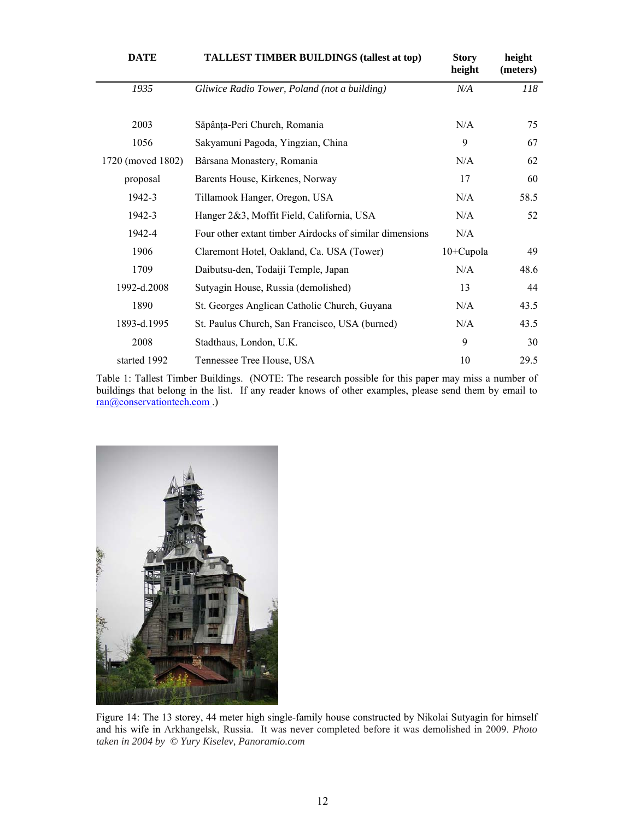| <b>DATE</b>       | <b>TALLEST TIMBER BUILDINGS (tallest at top)</b>        | <b>Story</b><br>height | height<br>(meters) |
|-------------------|---------------------------------------------------------|------------------------|--------------------|
| 1935              | Gliwice Radio Tower, Poland (not a building)            | N/A                    | 118                |
|                   |                                                         |                        |                    |
| 2003              | Săpânța-Peri Church, Romania                            | N/A                    | 75                 |
| 1056              | Sakyamuni Pagoda, Yingzian, China                       | 9                      | 67                 |
| 1720 (moved 1802) | Bârsana Monastery, Romania                              | N/A                    | 62                 |
| proposal          | Barents House, Kirkenes, Norway                         | 17                     | 60                 |
| 1942-3            | Tillamook Hanger, Oregon, USA                           | N/A                    | 58.5               |
| 1942-3            | Hanger 2&3, Moffit Field, California, USA               | N/A                    | 52                 |
| 1942-4            | Four other extant timber Airdocks of similar dimensions | N/A                    |                    |
| 1906              | Claremont Hotel, Oakland, Ca. USA (Tower)               | 10+Cupola              | 49                 |
| 1709              | Daibutsu-den, Todaiji Temple, Japan                     | N/A                    | 48.6               |
| 1992-d.2008       | Sutyagin House, Russia (demolished)                     | 13                     | 44                 |
| 1890              | St. Georges Anglican Catholic Church, Guyana            | N/A                    | 43.5               |
| 1893-d.1995       | St. Paulus Church, San Francisco, USA (burned)          | N/A                    | 43.5               |
| 2008              | Stadthaus, London, U.K.                                 | 9                      | 30                 |
| started 1992      | Tennessee Tree House, USA                               | 10                     | 29.5               |

Table 1: Tallest Timber Buildings. (NOTE: The research possible for this paper may miss a number of buildings that belong in the list. If any reader knows of other examples, please send them by email to ran@conservationtech.com .)



Figure 14: The 13 storey, 44 meter high single-family house constructed by Nikolai Sutyagin for himself and his wife in Arkhangelsk, Russia. It was never completed before it was demolished in 2009. *Photo taken in 2004 by © Yury Kiselev, Panoramio.com*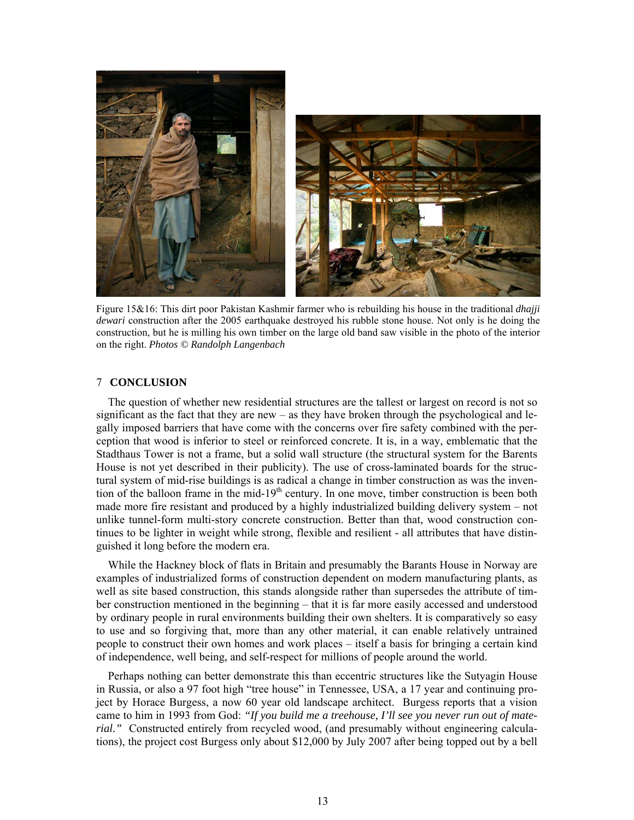

Figure 15&16: This dirt poor Pakistan Kashmir farmer who is rebuilding his house in the traditional *dhajji dewari* construction after the 2005 earthquake destroyed his rubble stone house. Not only is he doing the construction, but he is milling his own timber on the large old band saw visible in the photo of the interior on the right. *Photos © Randolph Langenbach*

## 7 **CONCLUSION**

The question of whether new residential structures are the tallest or largest on record is not so significant as the fact that they are new – as they have broken through the psychological and legally imposed barriers that have come with the concerns over fire safety combined with the perception that wood is inferior to steel or reinforced concrete. It is, in a way, emblematic that the Stadthaus Tower is not a frame, but a solid wall structure (the structural system for the Barents House is not yet described in their publicity). The use of cross-laminated boards for the structural system of mid-rise buildings is as radical a change in timber construction as was the invention of the balloon frame in the mid-19<sup>th</sup> century. In one move, timber construction is been both made more fire resistant and produced by a highly industrialized building delivery system – not unlike tunnel-form multi-story concrete construction. Better than that, wood construction continues to be lighter in weight while strong, flexible and resilient - all attributes that have distinguished it long before the modern era.

While the Hackney block of flats in Britain and presumably the Barants House in Norway are examples of industrialized forms of construction dependent on modern manufacturing plants, as well as site based construction, this stands alongside rather than supersedes the attribute of timber construction mentioned in the beginning – that it is far more easily accessed and understood by ordinary people in rural environments building their own shelters. It is comparatively so easy to use and so forgiving that, more than any other material, it can enable relatively untrained people to construct their own homes and work places – itself a basis for bringing a certain kind of independence, well being, and self-respect for millions of people around the world.

Perhaps nothing can better demonstrate this than eccentric structures like the Sutyagin House in Russia, or also a 97 foot high "tree house" in Tennessee, USA, a 17 year and continuing project by Horace Burgess, a now 60 year old landscape architect. Burgess reports that a vision came to him in 1993 from God: *"If you build me a treehouse, I'll see you never run out of material.*" Constructed entirely from recycled wood, (and presumably without engineering calculations), the project cost Burgess only about \$12,000 by July 2007 after being topped out by a bell